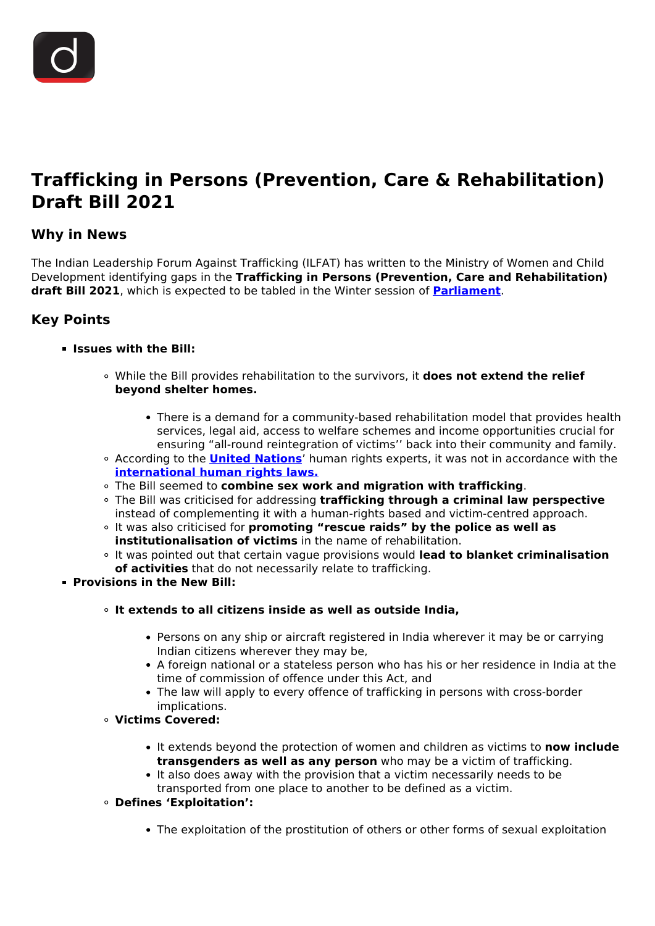

# **Trafficking in Persons (Prevention, Care & Rehabilitation) Draft Bill 2021**

## **Why in News**

The Indian Leadership Forum Against Trafficking (ILFAT) has written to the Ministry of Women and Child Development identifying gaps in the **Trafficking in Persons (Prevention, Care and Rehabilitation) draft Bill 2021**, which is expected to be tabled in the Winter session of **[Parliament](/to-the-points/Paper2/parliament-part-i)**.

## **Key Points**

#### **Issues with the Bill:**

- While the Bill provides rehabilitation to the survivors, it **does not extend the relief beyond shelter homes.**
	- There is a demand for a community-based rehabilitation model that provides health services, legal aid, access to welfare schemes and income opportunities crucial for ensuring "all-round reintegration of victims'' back into their community and family.
- According to the **[United Nations](/important-institutions/drishti-specials-important-institutions-international-institution/united-nations-1)**' human rights experts, it was not in accordance with the **[international human rights laws.](/daily-updates/daily-news-analysis/human-rights-day-2)**
- The Bill seemed to **combine sex work and migration with trafficking**.
- The Bill was criticised for addressing **trafficking through a criminal law perspective** instead of complementing it with a human-rights based and victim-centred approach.
- It was also criticised for **promoting "rescue raids" by the police as well as institutionalisation of victims** in the name of rehabilitation.
- It was pointed out that certain vague provisions would **lead to blanket criminalisation of activities** that do not necessarily relate to trafficking.
- **Provisions in the New Bill:**
	- **It extends to all citizens inside as well as outside India,**
		- Persons on any ship or aircraft registered in India wherever it may be or carrying Indian citizens wherever they may be,
		- A foreign national or a stateless person who has his or her residence in India at the time of commission of offence under this Act, and
		- The law will apply to every offence of trafficking in persons with cross-border implications.
	- **Victims Covered:**
		- It extends beyond the protection of women and children as victims to **now include transgenders as well as any person** who may be a victim of trafficking.
		- It also does away with the provision that a victim necessarily needs to be transported from one place to another to be defined as a victim.
	- **Defines 'Exploitation':**
		- The exploitation of the prostitution of others or other forms of sexual exploitation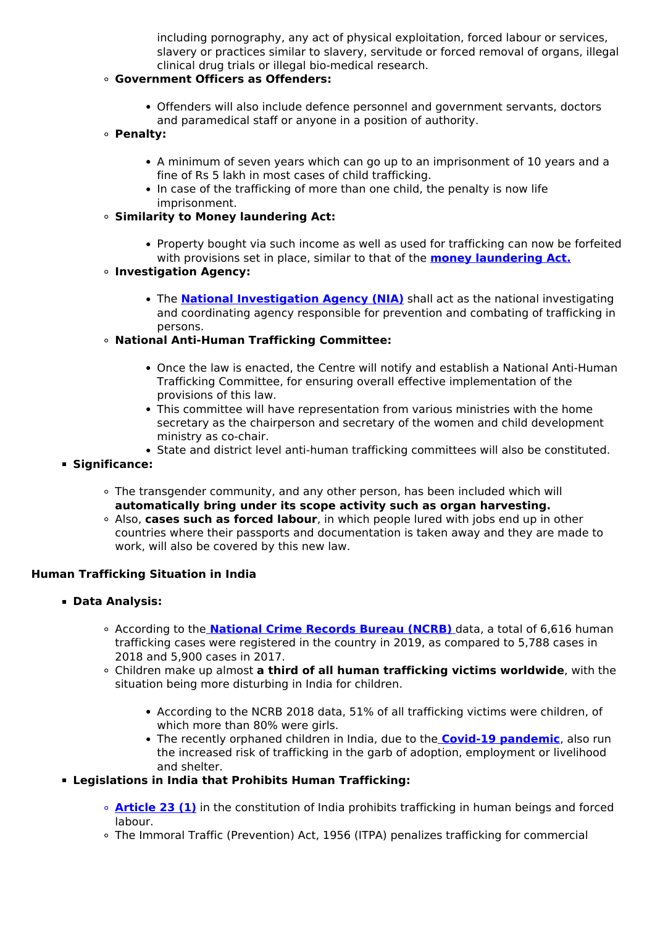including pornography, any act of physical exploitation, forced labour or services, slavery or practices similar to slavery, servitude or forced removal of organs, illegal clinical drug trials or illegal bio-medical research.

## **Government Officers as Offenders:**

- Offenders will also include defence personnel and government servants, doctors and paramedical staff or anyone in a position of authority.
- **Penalty:**
	- A minimum of seven years which can go up to an imprisonment of 10 years and a fine of Rs 5 lakh in most cases of child trafficking.
	- In case of the trafficking of more than one child, the penalty is now life imprisonment.
- **Similarity to Money laundering Act:**
	- Property bought via such income as well as used for trafficking can now be forfeited with provisions set in place, similar to that of the **[money laundering Act.](/daily-updates/daily-news-analysis/fugitive-economic-offenders-2#:~:text=Money%20laundering%20is%20concealing%20or,drug%20trafficking%2C%20robbery%20or%20extortion.)**
- **Investigation Agency:**
	- The **[National Investigation Agency \(NIA\)](/important-institutions/drishti-specials-important-institutions-national-institutions/national-investigation-agency)** shall act as the national investigating and coordinating agency responsible for prevention and combating of trafficking in persons.
- **National Anti-Human Trafficking Committee:**
	- Once the law is enacted, the Centre will notify and establish a National Anti-Human Trafficking Committee, for ensuring overall effective implementation of the provisions of this law.
	- This committee will have representation from various ministries with the home secretary as the chairperson and secretary of the women and child development ministry as co-chair.
	- State and district level anti-human trafficking committees will also be constituted.
- **Significance:**
	- The transgender community, and any other person, has been included which will **automatically bring under its scope activity such as organ harvesting.**
	- Also, **cases such as forced labour**, in which people lured with jobs end up in other countries where their passports and documentation is taken away and they are made to work, will also be covered by this new law.

#### **Human Trafficking Situation in India**

- **Data Analysis:**
	- According to the **[National Crime Records Bureau \(NCRB\)](/daily-updates/daily-news-analysis/crime-in-india-2019-report-ncrb)** data, a total of 6,616 human trafficking cases were registered in the country in 2019, as compared to 5,788 cases in 2018 and 5,900 cases in 2017.
	- Children make up almost **a third of all human trafficking victims worldwide**, with the situation being more disturbing in India for children.
		- According to the NCRB 2018 data, 51% of all trafficking victims were children, of which more than 80% were girls.
		- The recently orphaned children in India, due to the **[Covid-19 pandemic](/loksabha-rajyasabha-discussions/the-big-picture-india-s-covid-pandemic-management)**, also run the increased risk of trafficking in the garb of adoption, employment or livelihood and shelter.
- **Legislations in India that Prohibits Human Trafficking:**
	- **[Article 23 \(1\)](/daily-updates/daily-news-editorials/analysing-the-new-anti-trafficking-bill)** in the constitution of India prohibits trafficking in human beings and forced labour.
	- The Immoral Traffic (Prevention) Act, 1956 (ITPA) penalizes trafficking for commercial